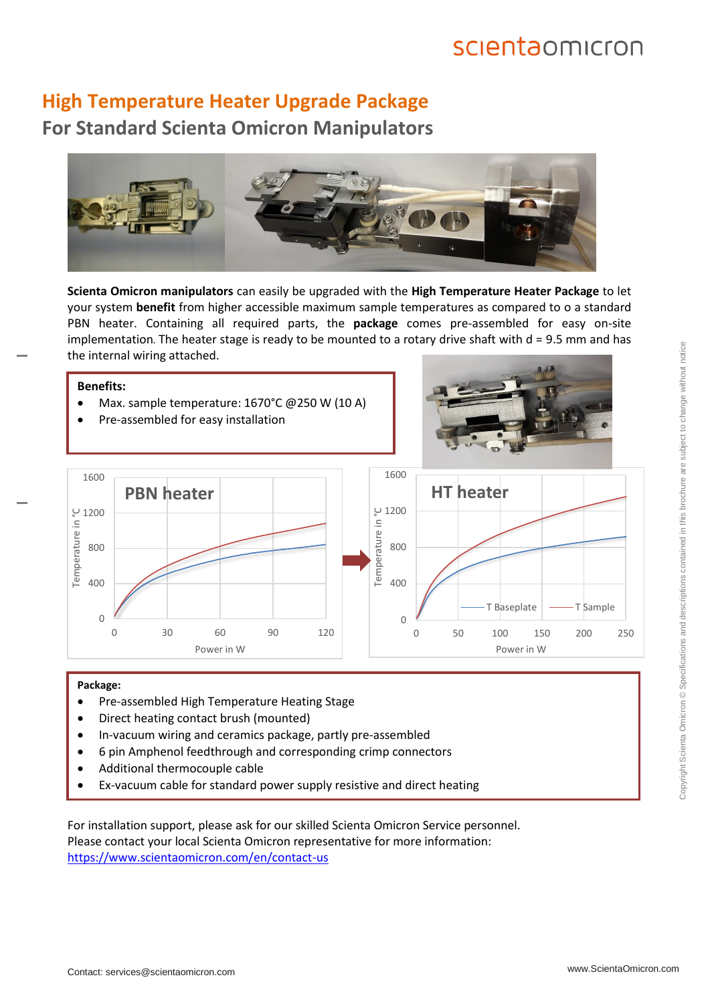## scientaomicron

#### **High Temperature Heater Upgrade Package For Standard Scienta Omicron Manipulators**



**Scienta Omicron manipulators** can easily be upgraded with the **High Temperature Heater Package** to let your system **benefit** from higher accessible maximum sample temperatures as compared to o a standard PBN heater. Containing all required parts, the **package** comes pre-assembled for easy on-site implementation. The heater stage is ready to be mounted to a rotary drive shaft with  $d = 9.5$  mm and has the internal wiring attached.

#### **Benefits:**

- Max. sample temperature: 1670°C @250 W (10 A)
- Pre-assembled for easy installation





#### **Package:**

- Pre-assembled High Temperature Heating Stage
- Direct heating contact brush (mounted)
- In-vacuum wiring and ceramics package, partly pre-assembled
- 6 pin Amphenol feedthrough and corresponding crimp connectors
- Additional thermocouple cable
- Ex-vacuum cable for standard power supply resistive and direct heating

For installation support, please ask for our skilled Scienta Omicron Service personnel. Please contact your local Scienta Omicron representative for more information: <https://www.scientaomicron.com/en/contact-us>